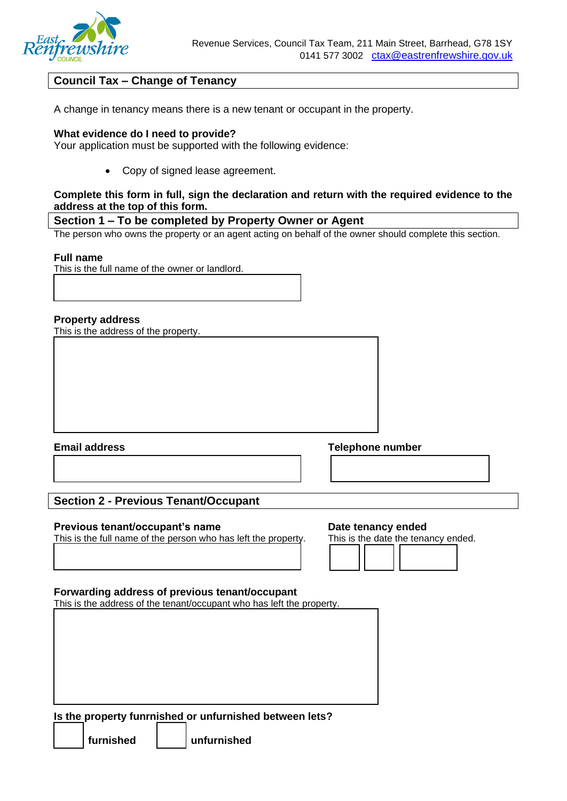

# **Council Tax – Change of Tenancy**

A change in tenancy means there is a new tenant or occupant in the property.

# **What evidence do I need to provide?**

Your application must be supported with the following evidence:

• Copy of signed lease agreement.

# **Complete this form in full, sign the declaration and return with the required evidence to the address at the top of this form.**

# **Section 1 – To be completed by Property Owner or Agent**

The person who owns the property or an agent acting on behalf of the owner should complete this section.

# **Full name**

This is the full name of the owner or landlord.

# **Property address**

This is the address of the property.

**Email address Telephone number**

# **Section 2 - Previous Tenant/Occupant**

# **Previous tenant/occupant's name by a controlled by Date tenancy ended**

This is the full name of the person who has left the property. This is the date the tenancy ended.

# **Forwarding address of previous tenant/occupant**

This is the address of the tenant/occupant who has left the property.

**Is the property funrnished or unfurnished between lets?**

**furnished unfurnished**